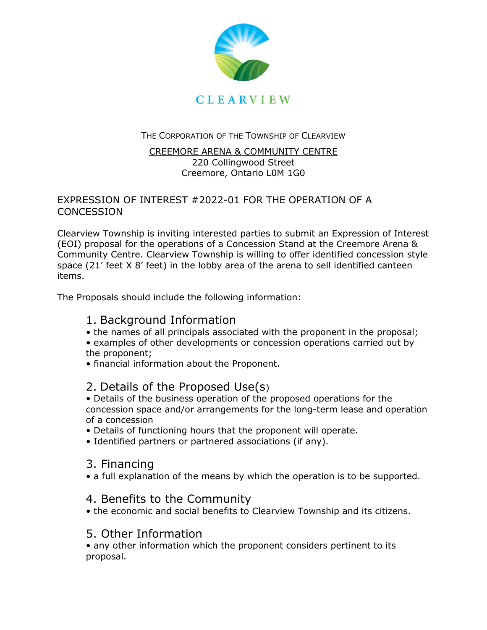

THE CORPORATION OF THE TOWNSHIP OF CLEARVIEW

#### CREEMORE ARENA & COMMUNITY CENTRE 220 Collingwood Street Creemore, Ontario L0M 1G0

#### EXPRESSION OF INTEREST #2022-01 FOR THE OPERATION OF A **CONCESSION**

Clearview Township is inviting interested parties to submit an Expression of Interest (EOI) proposal for the operations of a Concession Stand at the Creemore Arena & Community Centre. Clearview Township is willing to offer identified concession style space (21' feet X 8' feet) in the lobby area of the arena to sell identified canteen items.

The Proposals should include the following information:

# 1. Background Information

- the names of all principals associated with the proponent in the proposal;
- examples of other developments or concession operations carried out by the proponent;
- financial information about the Proponent.

## 2. Details of the Proposed Use(s)

• Details of the business operation of the proposed operations for the concession space and/or arrangements for the long-term lease and operation of a concession

- Details of functioning hours that the proponent will operate.
- Identified partners or partnered associations (if any).

## 3. Financing

• a full explanation of the means by which the operation is to be supported.

## 4. Benefits to the Community

• the economic and social benefits to Clearview Township and its citizens.

## 5. Other Information

• any other information which the proponent considers pertinent to its proposal.